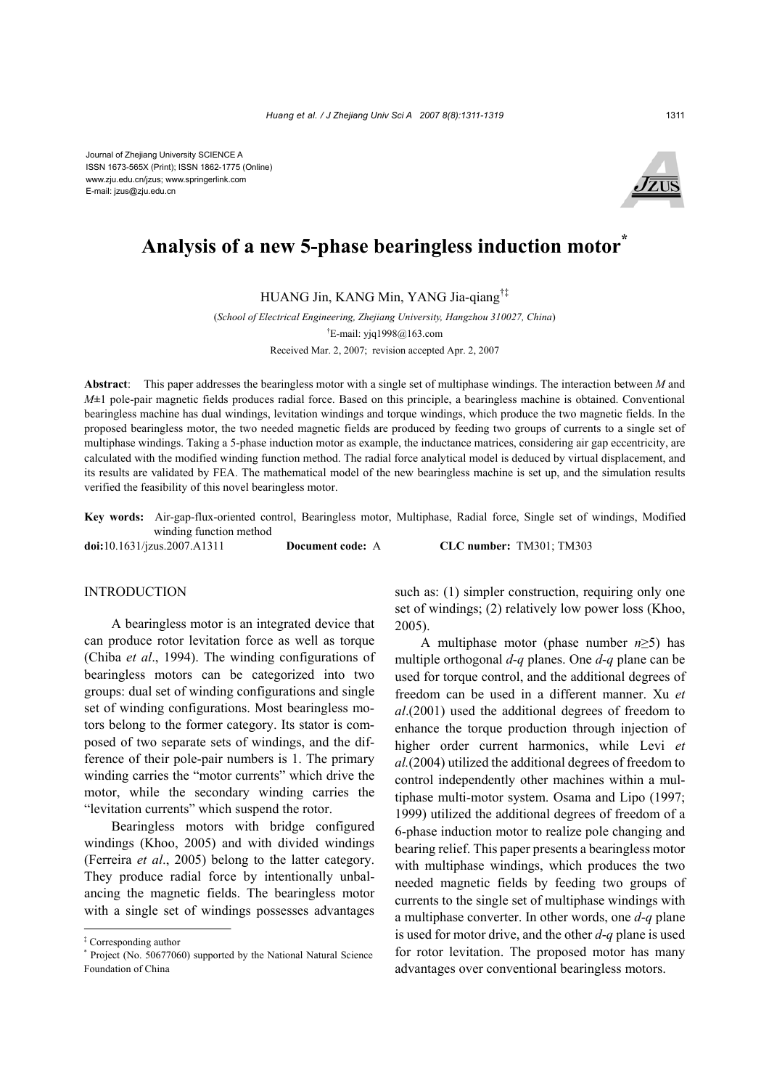Journal of Zhejiang University SCIENCE A ISSN 1673-565X (Print); ISSN 1862-1775 (Online) www.zju.edu.cn/jzus; www.springerlink.com E-mail: jzus@zju.edu.cn



# Analysis of a new 5-phase bearingless induction motor<sup>\*</sup>

HUANG Jin, KANG Min, YANG Jia-qiang†‡

(*School of Electrical Engineering, Zhejiang University, Hangzhou 310027, China*) † E-mail: yjq1998@163.com Received Mar. 2, 2007; revision accepted Apr. 2, 2007

**Abstract**:This paper addresses the bearingless motor with a single set of multiphase windings. The interaction between *M* and *M***±**1 pole-pair magnetic fields produces radial force. Based on this principle, a bearingless machine is obtained. Conventional bearingless machine has dual windings, levitation windings and torque windings, which produce the two magnetic fields. In the proposed bearingless motor, the two needed magnetic fields are produced by feeding two groups of currents to a single set of multiphase windings. Taking a 5-phase induction motor as example, the inductance matrices, considering air gap eccentricity, are calculated with the modified winding function method. The radial force analytical model is deduced by virtual displacement, and its results are validated by FEA. The mathematical model of the new bearingless machine is set up, and the simulation results verified the feasibility of this novel bearingless motor.

**Key words:** Air-gap-flux-oriented control, Bearingless motor, Multiphase, Radial force, Single set of windings, Modified winding function method

**doi:**10.1631/jzus.2007.A1311 **Document code:** A **CLC number:** TM301; TM303

### INTRODUCTION

A bearingless motor is an integrated device that can produce rotor levitation force as well as torque (Chiba *et al*., 1994). The winding configurations of bearingless motors can be categorized into two groups: dual set of winding configurations and single set of winding configurations. Most bearingless motors belong to the former category. Its stator is composed of two separate sets of windings, and the difference of their pole-pair numbers is 1. The primary winding carries the "motor currents" which drive the motor, while the secondary winding carries the "levitation currents" which suspend the rotor.

Bearingless motors with bridge configured windings (Khoo, 2005) and with divided windings (Ferreira *et al*., 2005) belong to the latter category. They produce radial force by intentionally unbalancing the magnetic fields. The bearingless motor with a single set of windings possesses advantages

such as: (1) simpler construction, requiring only one set of windings; (2) relatively low power loss (Khoo, 2005).

A multiphase motor (phase number *n*≥5) has multiple orthogonal *d*-*q* planes. One *d*-*q* plane can be used for torque control, and the additional degrees of freedom can be used in a different manner. Xu *et al*.(2001) used the additional degrees of freedom to enhance the torque production through injection of higher order current harmonics, while Levi *et al.*(2004) utilized the additional degrees of freedom to control independently other machines within a multiphase multi-motor system. Osama and Lipo (1997; 1999) utilized the additional degrees of freedom of a 6-phase induction motor to realize pole changing and bearing relief. This paper presents a bearingless motor with multiphase windings, which produces the two needed magnetic fields by feeding two groups of currents to the single set of multiphase windings with a multiphase converter. In other words, one *d*-*q* plane is used for motor drive, and the other *d*-*q* plane is used for rotor levitation. The proposed motor has many advantages over conventional bearingless motors.

<sup>‡</sup> Corresponding author

<sup>\*</sup> Project (No. 50677060) supported by the National Natural Science Foundation of China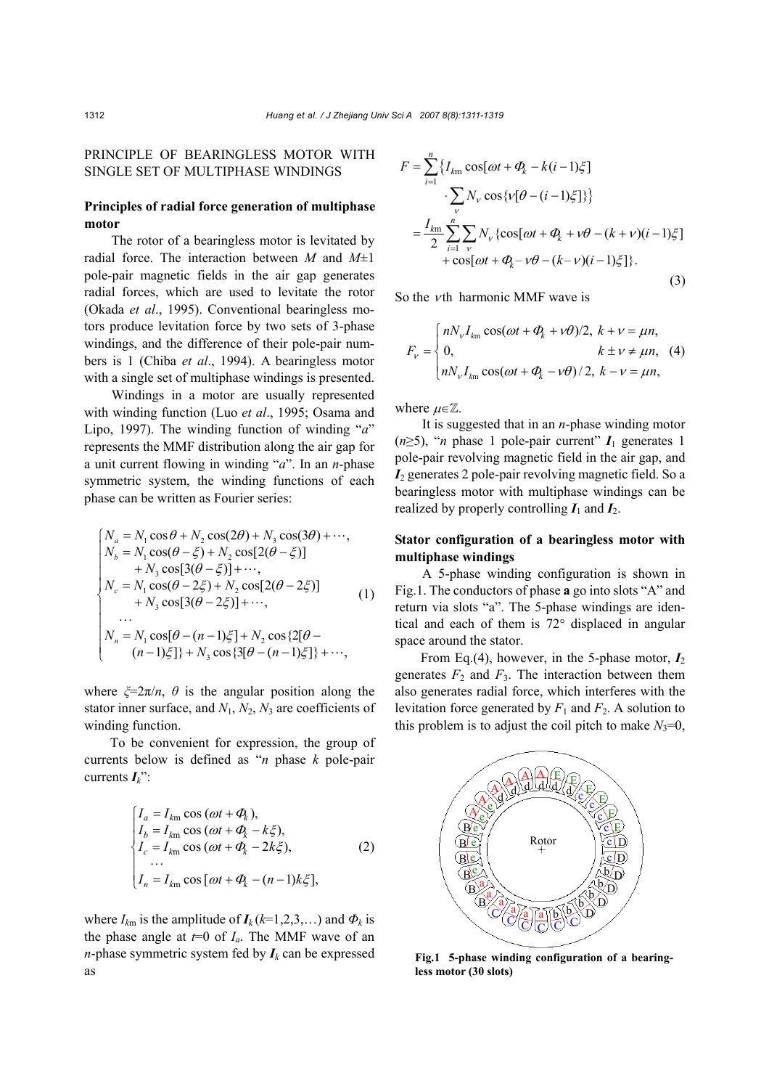# PRINCIPLE OF BEARINGLESS MOTOR WITH SINGLE SET OF MULTIPHASE WINDINGS

# **Principles of radial force generation of multiphase motor**

The rotor of a bearingless motor is levitated by radial force. The interaction between *M* and *M*±1 pole-pair magnetic fields in the air gap generates radial forces, which are used to levitate the rotor (Okada *et al*., 1995). Conventional bearingless motors produce levitation force by two sets of 3-phase windings, and the difference of their pole-pair numbers is 1 (Chiba *et al*., 1994). A bearingless motor with a single set of multiphase windings is presented.

Windings in a motor are usually represented with winding function (Luo *et al*., 1995; Osama and Lipo, 1997). The winding function of winding "*a*" represents the MMF distribution along the air gap for a unit current flowing in winding "*a*". In an *n*-phase symmetric system, the winding functions of each phase can be written as Fourier series:

$$
\begin{cases}\nN_a = N_1 \cos \theta + N_2 \cos(2\theta) + N_3 \cos(3\theta) + \cdots, \\
N_b = N_1 \cos(\theta - \xi) + N_2 \cos[2(\theta - \xi)] \\
+ N_3 \cos[3(\theta - \xi)] + \cdots, \\
N_c = N_1 \cos(\theta - 2\xi) + N_2 \cos[2(\theta - 2\xi)] \\
+ N_3 \cos[3(\theta - 2\xi)] + \cdots, \\
\cdots \\
N_n = N_1 \cos[\theta - (n-1)\xi] + N_2 \cos\{2[\theta - (n-1)\xi]\} + \cdots,\n\end{cases} (1)
$$

where  $\zeta = 2\pi/n$ ,  $\theta$  is the angular position along the stator inner surface, and  $N_1$ ,  $N_2$ ,  $N_3$  are coefficients of winding function.

To be convenient for expression, the group of currents below is defined as "*n* phase *k* pole-pair currents *Ik*":

$$
\begin{cases}\nI_a = I_{km} \cos(\omega t + \Phi_k), \\
I_b = I_{km} \cos(\omega t + \Phi_k - k\xi), \\
I_c = I_{km} \cos(\omega t + \Phi_k - 2k\xi), \\
\vdots \\
I_n = I_{km} \cos[\omega t + \Phi_k - (n-1)k\xi],\n\end{cases}
$$
\n(2)

where  $I_{km}$  is the amplitude of  $I_k$  ( $k=1,2,3,...$ ) and  $\Phi_k$  is the phase angle at  $t=0$  of  $I_a$ . The MMF wave of an *n*-phase symmetric system fed by  $I_k$  can be expressed as

$$
F = \sum_{i=1}^{n} \{I_{km} \cos[\omega t + \Phi_k - k(i-1)\xi] \}
$$
  
\n
$$
\sum_{V} N_V \cos{\{\nu[\theta - (i-1)\xi]\}} \}
$$
  
\n
$$
= \frac{I_{km}}{2} \sum_{i=1}^{n} \sum_{V} N_V {\cos[\omega t + \Phi_k + \nu\theta - (k+\nu)(i-1)\xi] + \cos[\omega t + \Phi_k - \nu\theta - (k-\nu)(i-1)\xi] }.
$$
 (3)

So the *th harmonic MMF wave is* 

$$
F_v = \begin{cases} nN_v I_{km} \cos(\omega t + \Phi_k + v\theta)/2, & k + v = \mu n, \\ 0, & k \pm v \neq \mu n, \\ nN_v I_{km} \cos(\omega t + \Phi_k - v\theta)/2, & k - v = \mu n, \end{cases}
$$
(4)

where  $\mu \in \mathbb{Z}$ .

It is suggested that in an *n*-phase winding motor ( $n \geq 5$ ), "*n* phase 1 pole-pair current"  $I_1$  generates 1 pole-pair revolving magnetic field in the air gap, and *I*<sub>2</sub> generates 2 pole-pair revolving magnetic field. So a bearingless motor with multiphase windings can be realized by properly controlling  $I_1$  and  $I_2$ .

### **Stator configuration of a bearingless motor with multiphase windings**

A 5-phase winding configuration is shown in Fig.1. The conductors of phase **a** go into slots "A" and return via slots "a". The 5-phase windings are identical and each of them is 72° displaced in angular space around the stator.

From Eq.(4), however, in the 5-phase motor,  $I_2$ generates  $F_2$  and  $F_3$ . The interaction between them also generates radial force, which interferes with the levitation force generated by  $F_1$  and  $F_2$ . A solution to this problem is to adjust the coil pitch to make  $N_3=0$ ,



**Fig.1 5-phase winding configuration of a bearingless motor (30 slots)**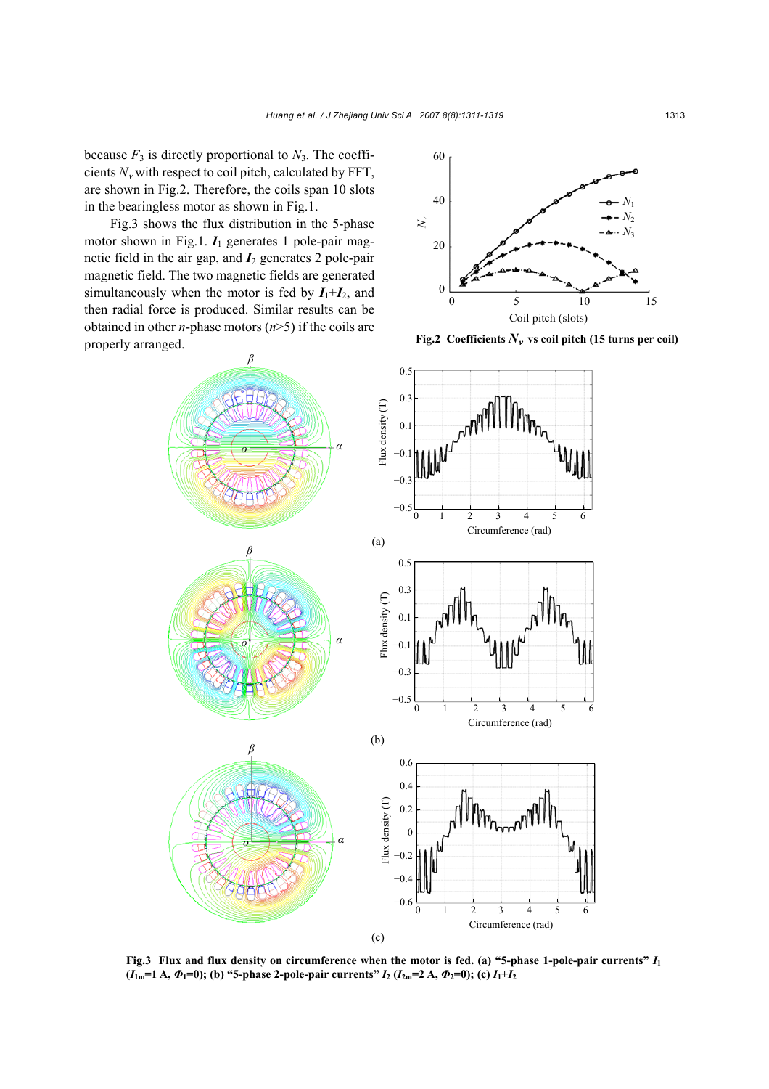because  $F_3$  is directly proportional to  $N_3$ . The coefficients  $N_v$  with respect to coil pitch, calculated by FFT, are shown in Fig.2. Therefore, the coils span 10 slots in the bearingless motor as shown in Fig.1.

Fig.3 shows the flux distribution in the 5-phase motor shown in Fig.1.  $I_1$  generates 1 pole-pair magnetic field in the air gap, and  $I_2$  generates 2 pole-pair magnetic field. The two magnetic fields are generated simultaneously when the motor is fed by  $I_1+I_2$ , and then radial force is produced. Similar results can be obtained in other *n*-phase motors (*n*>5) if the coils are properly arranged.



**Fig.2** Coefficients  $N_v$  vs coil pitch (15 turns per coil)



**Fig.3 Flux and flux density on circumference when the motor is fed. (a) "5-phase 1-pole-pair currents"** *I***<sup>1</sup>**  $(I_{1m}=1 \text{ A}, \Phi_1=0)$ ; (b) "5-phase 2-pole-pair currents"  $I_2$  ( $I_{2m}=2 \text{ A}, \Phi_2=0$ ); (c)  $I_1+I_2$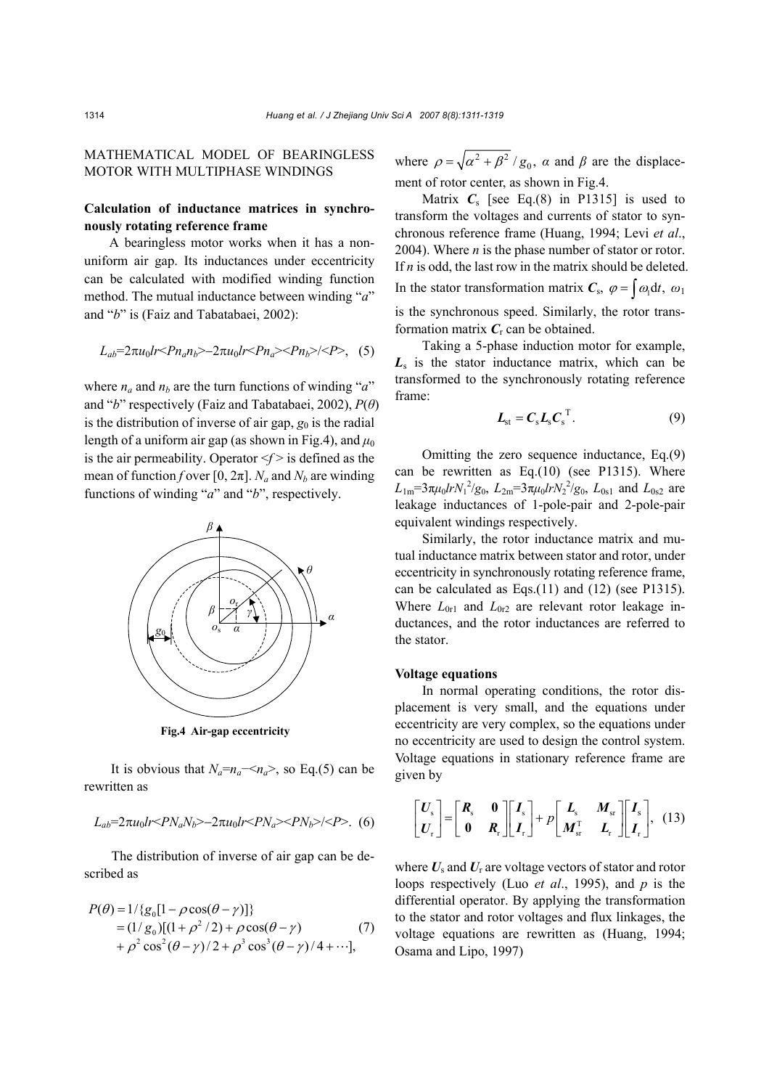## MATHEMATICAL MODEL OF BEARINGLESS MOTOR WITH MULTIPHASE WINDINGS

# **Calculation of inductance matrices in synchronously rotating reference frame**

A bearingless motor works when it has a nonuniform air gap. Its inductances under eccentricity can be calculated with modified winding function method. The mutual inductance between winding "*a*" and "*b*" is (Faiz and Tabatabaei, 2002):

$$
L_{ab} = 2\pi u_0 Ir < P n_a n_b > -2\pi u_0 lr < P n_a < P n_b > / < P > 0
$$

where  $n_a$  and  $n_b$  are the turn functions of winding "*a*" and "*b*" respectively (Faiz and Tabatabaei, 2002), *P*(*θ*) is the distribution of inverse of air gap,  $g_0$  is the radial length of a uniform air gap (as shown in Fig.4), and  $\mu_0$ is the air permeability. Operator  $\leq f$  is defined as the mean of function *f* over [0,  $2\pi$ ]. *N<sub>a</sub>* and *N<sub>b</sub>* are winding functions of winding "*a*" and "*b*", respectively.



**Fig.4 Air-gap eccentricity**

It is obvious that  $N_a=n_a \ll n_a$ , so Eq.(5) can be rewritten as

$$
L_{ab}=2\pi u_0 Ir \langle PN_a N_b \rangle - 2\pi u_0 Ir \langle PN_a \rangle \langle PN_b \rangle / \langle P \rangle
$$
. (6)

The distribution of inverse of air gap can be described as

$$
P(\theta) = 1/\{g_0[1 - \rho \cos(\theta - \gamma)]\}
$$
  
=  $(1/g_0)[(1 + \rho^2/2) + \rho \cos(\theta - \gamma)$  (7)  
+  $\rho^2 \cos^2(\theta - \gamma)/2 + \rho^3 \cos^3(\theta - \gamma)/4 + \cdots],$ 

where  $\rho = \sqrt{\alpha^2 + \beta^2 / g_0}$ ,  $\alpha$  and  $\beta$  are the displacement of rotor center, as shown in Fig.4.

Matrix  $C_s$  [see Eq.(8) in P1315] is used to transform the voltages and currents of stator to synchronous reference frame (Huang, 1994; Levi *et al*., 2004). Where *n* is the phase number of stator or rotor. If *n* is odd, the last row in the matrix should be deleted. In the stator transformation matrix  $C_s$ ,  $\varphi = \int \omega_1 dt$ ,  $\omega_1$ is the synchronous speed. Similarly, the rotor transformation matrix  $C_r$  can be obtained.

Taking a 5-phase induction motor for example, *L*s is the stator inductance matrix, which can be transformed to the synchronously rotating reference frame:

$$
L_{\rm st} = C_{\rm s} L_{\rm s} C_{\rm s}^{\rm T}.
$$
 (9)

Omitting the zero sequence inductance, Eq.(9) can be rewritten as Eq.(10) (see P1315). Where *L*<sub>1m</sub>=3π*µ*<sub>0</sub>*lrN*<sub>1</sub><sup>2</sup>/g<sub>0</sub>, *L*<sub>2m</sub>=3π*µ*<sub>0</sub>*lrN*<sub>2</sub><sup>2</sup>/g<sub>0</sub>, *L*<sub>0s1</sub> and *L*<sub>0s2</sub> are leakage inductances of 1-pole-pair and 2-pole-pair equivalent windings respectively.

Similarly, the rotor inductance matrix and mutual inductance matrix between stator and rotor, under eccentricity in synchronously rotating reference frame, can be calculated as Eqs.(11) and (12) (see P1315). Where  $L_{0r1}$  and  $L_{0r2}$  are relevant rotor leakage inductances, and the rotor inductances are referred to the stator.

#### **Voltage equations**

In normal operating conditions, the rotor displacement is very small, and the equations under eccentricity are very complex, so the equations under no eccentricity are used to design the control system. Voltage equations in stationary reference frame are given by

$$
\begin{bmatrix} U_{\rm s} \\ U_{\rm r} \end{bmatrix} = \begin{bmatrix} R_{\rm s} & 0 \\ 0 & R_{\rm r} \end{bmatrix} \begin{bmatrix} I_{\rm s} \\ I_{\rm r} \end{bmatrix} + p \begin{bmatrix} L_{\rm s} & M_{\rm sr} \\ M_{\rm sr}^{\rm T} & L_{\rm r} \end{bmatrix} \begin{bmatrix} I_{\rm s} \\ I_{\rm r} \end{bmatrix}, (13)
$$

where  $U_s$  and  $U_r$  are voltage vectors of stator and rotor loops respectively (Luo *et al*., 1995), and *p* is the differential operator. By applying the transformation to the stator and rotor voltages and flux linkages, the voltage equations are rewritten as (Huang, 1994; Osama and Lipo, 1997)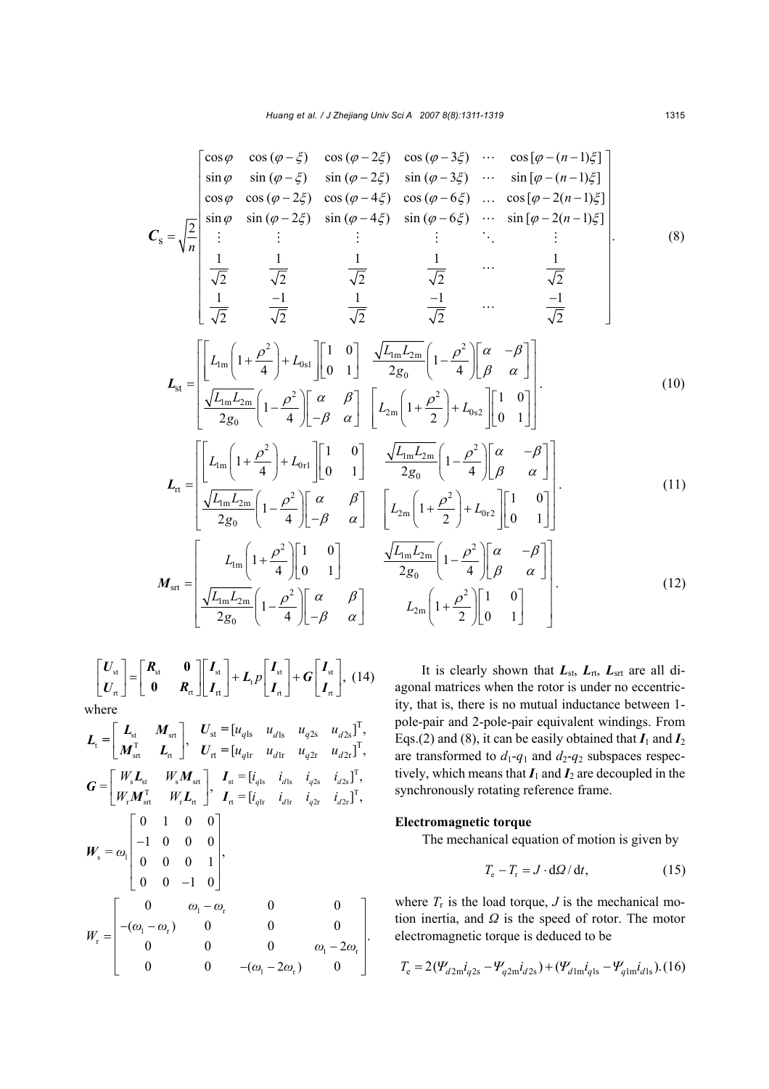$$
C_{s} = \sqrt{\frac{2}{n}} \begin{bmatrix} \cos \varphi & \cos (\varphi - \xi) & \cos (\varphi - 2\xi) & \cos (\varphi - 3\xi) & \cdots & \cos [\varphi - (n-1)\xi] \\ \sin \varphi & \sin (\varphi - \xi) & \sin (\varphi - 2\xi) & \sin (\varphi - 3\xi) & \cdots & \sin [\varphi - (n-1)\xi] \\ \cos \varphi & \cos (\varphi - 2\xi) & \cos (\varphi - 4\xi) & \cos (\varphi - 6\xi) & \cdots & \cos [\varphi - 2(n-1)\xi] \\ \sin \varphi & \sin (\varphi - 2\xi) & \sin (\varphi - 4\xi) & \sin (\varphi - 6\xi) & \cdots & \sin [\varphi - 2(n-1)\xi] \\ \vdots & \vdots & \vdots & \ddots & \vdots & \vdots \\ \frac{1}{\sqrt{2}} & \frac{1}{\sqrt{2}} & \frac{1}{\sqrt{2}} & \frac{1}{\sqrt{2}} & \frac{1}{\sqrt{2}} & \cdots & \frac{1}{\sqrt{2}} \\ \frac{1}{\sqrt{2}} & \frac{-1}{\sqrt{2}} & \frac{1}{\sqrt{2}} & \frac{-1}{\sqrt{2}} & \cdots & \frac{-1}{\sqrt{2}} \end{bmatrix} .
$$
 (8)

$$
L_{\rm st} = \left[ \frac{L_{\rm lm} \left( 1 + \frac{\rho^2}{4} \right) + L_{0\rm sl} \left[ \begin{bmatrix} 1 & 0 \\ 0 & 1 \end{bmatrix} \right] \frac{\sqrt{L_{\rm lm} L_{\rm 2m}}}{2g_0} \left( 1 - \frac{\rho^2}{4} \right) \left[ \begin{array}{cc} \alpha & -\beta \\ \beta & \alpha \end{array} \right] \right] \times \frac{\sqrt{L_{\rm lm} L_{\rm 2m}}}{2g_0} \left( 1 - \frac{\rho^2}{4} \right) \left[ \begin{array}{cc} \beta & \beta \\ -\beta & \alpha \end{array} \right] \left[ \begin{array}{cc} L_{\rm 2m} \left( 1 + \frac{\rho^2}{2} \right) + L_{0\rm s2} \left[ \begin{bmatrix} 1 & 0 \\ 0 & 1 \end{bmatrix} \right] \right] \end{array} \right].
$$
\n(10)

$$
L_{\rm rt} = \left[ \begin{bmatrix} L_{\rm lm} \left( 1 + \frac{\rho^2}{4} \right) + L_{\rm 0rl} \right] \left[ \begin{array}{cc} 1 & 0 \\ 0 & 1 \end{array} \right] & \frac{\sqrt{L_{\rm lm} L_{\rm 2m}}}{2g_0} \left( 1 - \frac{\rho^2}{4} \right) \left[ \begin{array}{cc} \alpha & -\beta \\ \beta & \alpha \end{array} \right] \right] \cdot \frac{\sqrt{L_{\rm lm} L_{\rm 2m}}}{2g_0} \left( 1 - \frac{\rho^2}{4} \right) \left[ \begin{array}{cc} \alpha & \beta \\ -\beta & \alpha \end{array} \right] & \left[ L_{\rm 2m} \left( 1 + \frac{\rho^2}{2} \right) + L_{\rm 0r2} \right] \left[ \begin{array}{cc} 1 & 0 \\ 0 & 1 \end{array} \right] \right]. \tag{11}
$$

$$
\boldsymbol{M}_{\text{str}} = \begin{bmatrix} L_{\text{lm}} \left( 1 + \frac{\rho^2}{4} \right) \begin{bmatrix} 1 & 0 \\ 0 & 1 \end{bmatrix} & \frac{\sqrt{L_{\text{lm}} L_{\text{2m}}}}{2g_0} \left( 1 - \frac{\rho^2}{4} \right) \begin{bmatrix} \alpha & -\beta \\ \beta & \alpha \end{bmatrix} \\ \frac{\sqrt{L_{\text{lm}} L_{\text{2m}}}}{2g_0} \left( 1 - \frac{\rho^2}{4} \right) \begin{bmatrix} \alpha & \beta \\ -\beta & \alpha \end{bmatrix} & L_{\text{2m}} \left( 1 + \frac{\rho^2}{2} \right) \begin{bmatrix} 1 & 0 \\ 0 & 1 \end{bmatrix} \end{bmatrix} . \tag{12}
$$

$$
\begin{bmatrix} U_{st} \\ U_{rt} \end{bmatrix} = \begin{bmatrix} R_{st} & 0 \\ 0 & R_{rt} \end{bmatrix} \begin{bmatrix} I_{st} \\ I_{rt} \end{bmatrix} + L_{t} p \begin{bmatrix} I_{st} \\ I_{rt} \end{bmatrix} + G \begin{bmatrix} I_{st} \\ I_{rt} \end{bmatrix}, (14)
$$
  
where

$$
L_{t} = \begin{bmatrix} L_{st} & M_{str} \\ M_{str} & L_{rt} \end{bmatrix}, \quad U_{st} = [u_{qls} \quad u_{dls} \quad u_{q2s} \quad u_{d2s}]^{T},
$$
  
\n
$$
G = \begin{bmatrix} W_{s}L_{st} & W_{s}M_{str} \\ W_{r}M_{str}^{T} & W_{r}L_{rt} \end{bmatrix}, \quad I_{st} = [i_{qls} \quad i_{dls} \quad i_{q2s} \quad i_{d2s}]^{T},
$$
  
\n
$$
W_{s} = \omega_{1} \begin{bmatrix} 0 & 1 & 0 & 0 \\ -1 & 0 & 0 & 0 \\ 0 & 0 & 0 & 1 \\ 0 & 0 & -1 & 0 \end{bmatrix},
$$
  
\n
$$
W_{t} = \begin{bmatrix} 0 & \omega_{1} - \omega_{r} & 0 & 0 \\ -(\omega_{1} - \omega_{r}) & 0 & 0 & 0 \\ 0 & 0 & -(\omega_{1} - 2\omega_{r}) & 0 \end{bmatrix}.
$$

It is clearly shown that  $L_{\text{st}}$ ,  $L_{\text{rt}}$ ,  $L_{\text{srt}}$  are all diagonal matrices when the rotor is under no eccentricity, that is, there is no mutual inductance between 1 pole-pair and 2-pole-pair equivalent windings. From Eqs.(2) and (8), it can be easily obtained that  $I_1$  and  $I_2$ are transformed to  $d_1$ - $q_1$  and  $d_2$ - $q_2$  subspaces respectively, which means that  $I_1$  and  $I_2$  are decoupled in the synchronously rotating reference frame.

### **Electromagnetic torque**

The mechanical equation of motion is given by

$$
T_{\rm e} - T_{\rm r} = J \cdot d\Omega / dt, \qquad (15)
$$

where  $T_r$  is the load torque, *J* is the mechanical motion inertia, and *Ω* is the speed of rotor. The motor electromagnetic torque is deduced to be

$$
T_{\rm e} = 2(\mathcal{Y}_{d2\rm m}i_{q2\rm s} - \mathcal{Y}_{q2\rm m}i_{d2\rm s}) + (\mathcal{Y}_{d1\rm m}i_{q1\rm s} - \mathcal{Y}_{q1\rm m}i_{d1\rm s}). (16)
$$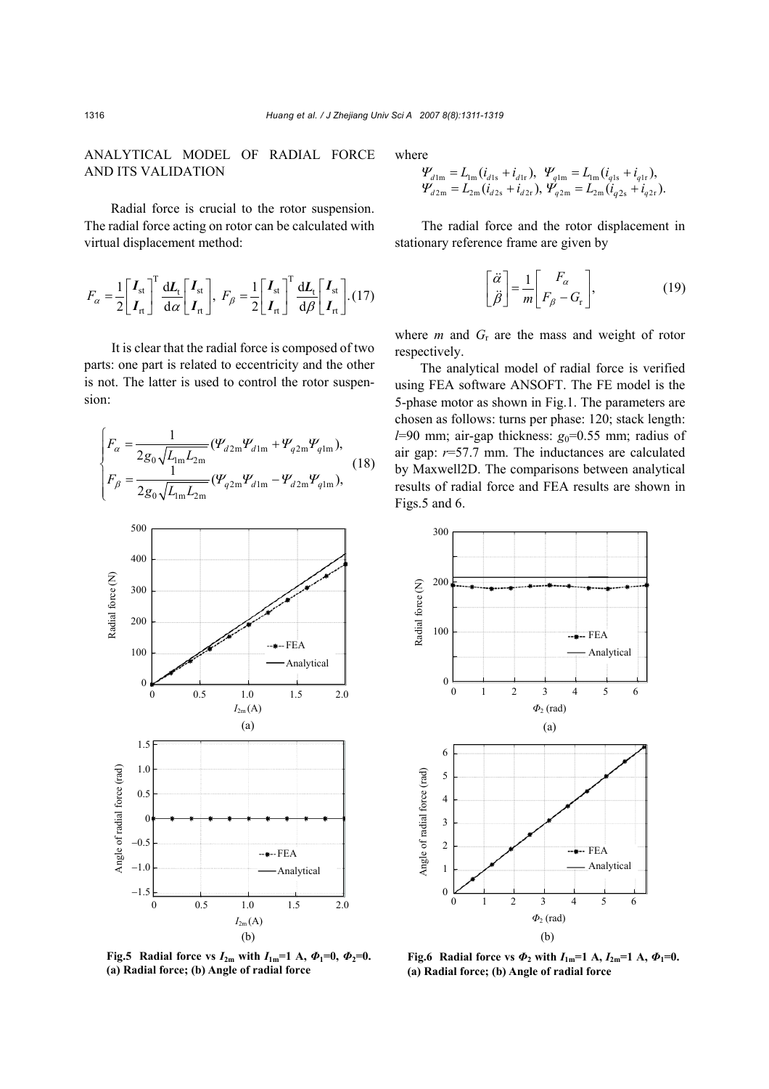## ANALYTICAL MODEL OF RADIAL FORCE AND ITS VALIDATION

Radial force is crucial to the rotor suspension. The radial force acting on rotor can be calculated with virtual displacement method:

$$
F_{\alpha} = \frac{1}{2} \begin{bmatrix} I_{\rm st} \\ I_{\rm rt} \end{bmatrix}^{\rm T} \frac{\mathrm{d}L_{\rm t}}{\mathrm{d}\alpha} \begin{bmatrix} I_{\rm st} \\ I_{\rm rt} \end{bmatrix}, \ F_{\beta} = \frac{1}{2} \begin{bmatrix} I_{\rm st} \\ I_{\rm rt} \end{bmatrix}^{\rm T} \frac{\mathrm{d}L_{\rm t}}{\mathrm{d}\beta} \begin{bmatrix} I_{\rm st} \\ I_{\rm rt} \end{bmatrix} . (17)
$$

It is clear that the radial force is composed of two parts: one part is related to eccentricity and the other is not. The latter is used to control the rotor suspension:

$$
\begin{cases}\nF_{\alpha} = \frac{1}{2g_0\sqrt{L_{\text{lm}}L_{\text{2m}}}} (\Psi_{d2m}\Psi_{d1m} + \Psi_{q2m}\Psi_{q1m}), \nF_{\beta} = \frac{1}{2g_0\sqrt{L_{\text{lm}}L_{\text{2m}}}} (\Psi_{q2m}\Psi_{d1m} - \Psi_{d2m}\Psi_{q1m}),\n\end{cases}
$$
\n(18)



**Fig.5** Radial force vs  $I_{2m}$  with  $I_{1m}=1$  A,  $\Phi_1=0$ ,  $\Phi_2=0$ . **(a) Radial force; (b) Angle of radial force** 

where

$$
\begin{array}{l} \varPsi_{d\ln} = L_{\rm lm} (i_{d\ln} + i_{d\ln}), \ \, \varPsi_{q\ln} = L_{\rm lm} (i_{q\ln} + i_{q\ln}), \\ \varPsi_{d\ln} = L_{\rm 2m} (i_{d\ln} + i_{d\ln}), \, \varPsi_{q\ln} = L_{\rm 2m} (i_{q\ln} + i_{q\ln}). \end{array}
$$

The radial force and the rotor displacement in stationary reference frame are given by

$$
\begin{bmatrix} \ddot{\alpha} \\ \ddot{\beta} \end{bmatrix} = \frac{1}{m} \begin{bmatrix} F_{\alpha} \\ F_{\beta} - G_{\rm r} \end{bmatrix},
$$
(19)

where  $m$  and  $G_r$  are the mass and weight of rotor respectively.

The analytical model of radial force is verified using FEA software ANSOFT. The FE model is the 5-phase motor as shown in Fig.1. The parameters are chosen as follows: turns per phase: 120; stack length:  $l=90$  mm; air-gap thickness:  $g_0=0.55$  mm; radius of air gap: *r*=57.7 mm. The inductances are calculated by Maxwell2D. The comparisons between analytical results of radial force and FEA results are shown in Figs.5 and 6.



**Fig.6** Radial force vs  $\Phi_2$  with  $I_{1m}$ =1 A,  $I_{2m}$ =1 A,  $\Phi_1$ =0. **(a) Radial force; (b) Angle of radial force**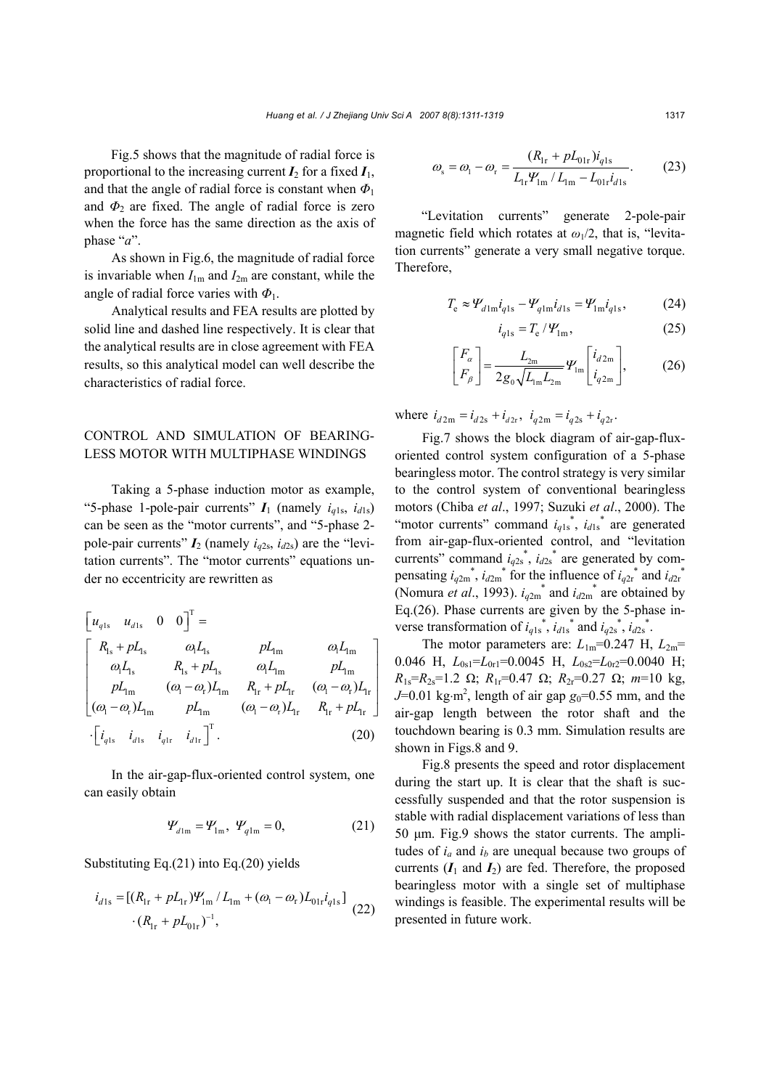Fig.5 shows that the magnitude of radial force is proportional to the increasing current  $I_2$  for a fixed  $I_1$ , and that the angle of radial force is constant when *Φ*<sup>1</sup> and  $\Phi_2$  are fixed. The angle of radial force is zero when the force has the same direction as the axis of phase "*a*".

As shown in Fig.6, the magnitude of radial force is invariable when  $I_{1m}$  and  $I_{2m}$  are constant, while the angle of radial force varies with *Φ*1.

Analytical results and FEA results are plotted by solid line and dashed line respectively. It is clear that the analytical results are in close agreement with FEA results, so this analytical model can well describe the characteristics of radial force.

# CONTROL AND SIMULATION OF BEARING-LESS MOTOR WITH MULTIPHASE WINDINGS

Taking a 5-phase induction motor as example, "5-phase 1-pole-pair currents"  $I_1$  (namely  $i_{q1s}$ ,  $i_{d1s}$ ) can be seen as the "motor currents", and "5-phase 2 pole-pair currents"  $I_2$  (namely  $i_{q2s}$ ,  $i_{d2s}$ ) are the "levitation currents". The "motor currents" equations under no eccentricity are rewritten as

$$
\begin{bmatrix} u_{q1s} & u_{d1s} & 0 & 0 \end{bmatrix}^{T} =
$$
\n
$$
\begin{bmatrix} R_{1s} + pL_{1s} & \omega_{1}L_{1s} & pL_{1m} & \omega_{1}L_{1m} \\ \omega_{1}L_{1s} & R_{1s} + pL_{1s} & \omega_{1}L_{1m} & pL_{1m} \\ pL_{1m} & (\omega_{1} - \omega_{r})L_{1m} & R_{1r} + pL_{1r} & (\omega_{1} - \omega_{r})L_{1r} \\ (\omega_{1} - \omega_{r})L_{1m} & pL_{1m} & (\omega_{1} - \omega_{r})L_{1r} & R_{1r} + pL_{1r} \end{bmatrix}
$$
\n
$$
\cdot \begin{bmatrix} i_{q1s} & i_{d1s} & i_{q1r} & i_{d1r} \end{bmatrix}^{T}.
$$
\n(20)

In the air-gap-flux-oriented control system, one can easily obtain

$$
\Psi_{d \ln} = \Psi_{\ln}, \ \Psi_{q \ln} = 0, \tag{21}
$$

Substituting Eq.(21) into Eq.(20) yields

$$
i_{d1s} = [(R_{1r} + pL_{1r})\mathcal{Y}_{1m} / L_{1m} + (\omega_1 - \omega_r)L_{01r}i_{q1s}]
$$
  
 
$$
\cdot (R_{1r} + pL_{01r})^{-1},
$$
 (22)

$$
\omega_{\rm s} = \omega_{\rm l} - \omega_{\rm r} = \frac{(R_{\rm lr} + pL_{\rm 0lr})i_{q\rm l\rm s}}{L_{\rm lr}\mathcal{Y}_{\rm lm} / L_{\rm lm} - L_{\rm 0lr}i_{d\rm l\rm s}}.\tag{23}
$$

"Levitation currents" generate 2-pole-pair magnetic field which rotates at  $\omega_1/2$ , that is, "levitation currents" generate a very small negative torque. Therefore,

$$
T_{\rm e} \approx \Psi_{d\, \rm Im} i_{q\, \rm ls} - \Psi_{q\, \rm Im} i_{d\, \rm ls} = \Psi_{\rm Im} i_{q\, \rm ls},\tag{24}
$$

$$
i_{q1s} = T_e / \mathcal{Y}_{1m},\tag{25}
$$

$$
\begin{bmatrix} F_{\alpha} \\ F_{\beta} \end{bmatrix} = \frac{L_{2m}}{2g_0\sqrt{L_{1m}L_{2m}}} \Psi_{1m} \begin{bmatrix} i_{d2m} \\ i_{q2m} \end{bmatrix},
$$
 (26)

where  $i_{d2m} = i_{d2s} + i_{d2r}$ ,  $i_{q2m} = i_{q2s} + i_{q2r}$ .

Fig.7 shows the block diagram of air-gap-fluxoriented control system configuration of a 5-phase bearingless motor. The control strategy is very similar to the control system of conventional bearingless motors (Chiba *et al*., 1997; Suzuki *et al*., 2000). The "motor currents" command  $i_{q1s}$ <sup>\*</sup>,  $i_{d1s}$ <sup>\*</sup> are generated from air-gap-flux-oriented control, and "levitation currents" command  $i_{q2s}^*$ ,  $i_{d2s}^*$  are generated by compensating  $i_{q2m}^*$ ,  $i_{q2m}^*$  for the influence of  $i_{q2r}^*$  and  $i_{q2r}^*$ (Nomura *et al.*, 1993).  $i_{q2m}$ <sup>\*</sup> and  $i_{q2m}$ <sup>\*</sup> are obtained by Eq.(26). Phase currents are given by the 5-phase inverse transformation of  $i_{q1s}$ <sup>\*</sup>,  $i_{d1s}$ <sup>\*</sup> and  $i_{q2s}$ <sup>\*</sup>,  $i_{d2s}$ <sup>\*</sup>.

The motor parameters are:  $L_{1m}$ =0.247 H,  $L_{2m}$ = 0.046 H, *L*0s1=*L*0r1=0.0045 H, *L*0s2=*L*0r2=0.0040 H;  $R_{1s}=R_{2s}=1.2$  Ω;  $R_{1r}=0.47$  Ω;  $R_{2r}=0.27$  Ω;  $m=10$  kg, *J*=0.01 kg⋅m<sup>2</sup>, length of air gap *g*<sub>0</sub>=0.55 mm, and the air-gap length between the rotor shaft and the touchdown bearing is 0.3 mm. Simulation results are shown in Figs.8 and 9.

Fig.8 presents the speed and rotor displacement during the start up. It is clear that the shaft is successfully suspended and that the rotor suspension is stable with radial displacement variations of less than 50 µm. Fig.9 shows the stator currents. The amplitudes of  $i_a$  and  $i_b$  are unequal because two groups of currents  $(I_1 \text{ and } I_2)$  are fed. Therefore, the proposed bearingless motor with a single set of multiphase windings is feasible. The experimental results will be presented in future work.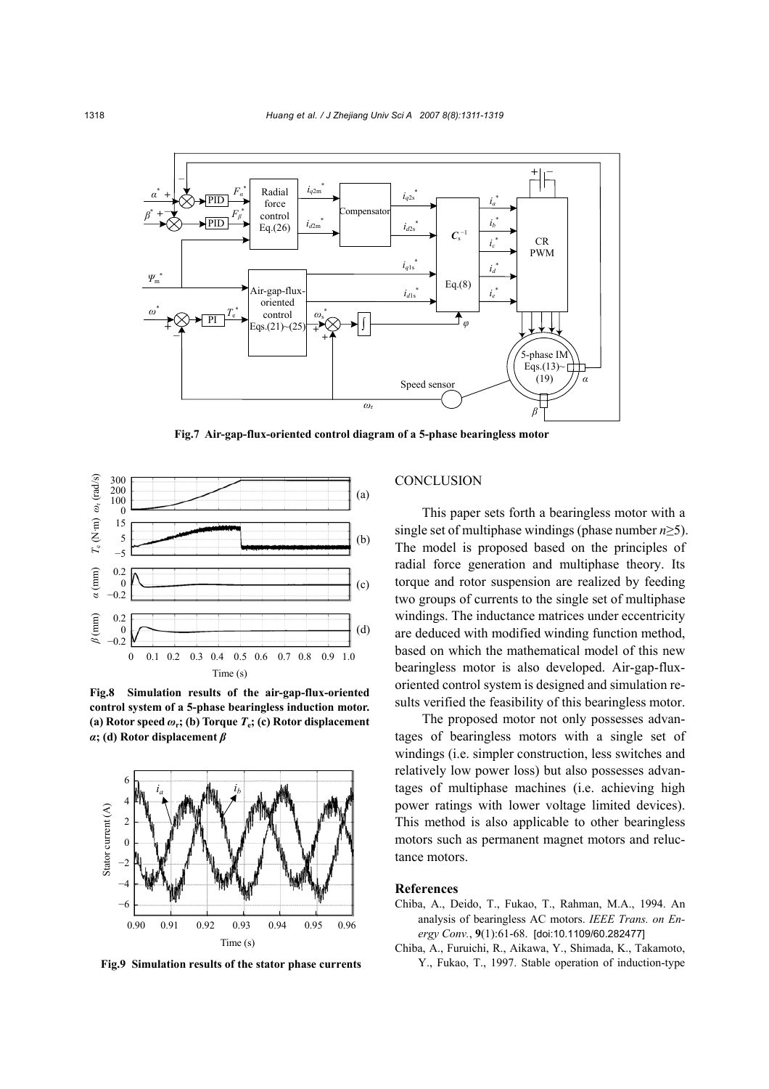

**Fig.7 Air-gap-flux-oriented control diagram of a 5-phase bearingless motor**



**Fig.8 Simulation results of the air-gap-flux-oriented control system of a 5-phase bearingless induction motor. (a) Rotor speed**  $\omega_r$ ; **(b) Torque**  $T_c$ **; <b>(c) Rotor displacement** *α***; (d) Rotor displacement** *β*



**Fig.9 Simulation results of the stator phase currents** 

### **CONCLUSION**

This paper sets forth a bearingless motor with a single set of multiphase windings (phase number *n*≥5). The model is proposed based on the principles of radial force generation and multiphase theory. Its torque and rotor suspension are realized by feeding two groups of currents to the single set of multiphase windings. The inductance matrices under eccentricity are deduced with modified winding function method, based on which the mathematical model of this new bearingless motor is also developed. Air-gap-fluxoriented control system is designed and simulation results verified the feasibility of this bearingless motor.

The proposed motor not only possesses advantages of bearingless motors with a single set of windings (i.e. simpler construction, less switches and relatively low power loss) but also possesses advantages of multiphase machines (i.e. achieving high power ratings with lower voltage limited devices). This method is also applicable to other bearingless motors such as permanent magnet motors and reluctance motors.

### **References**

- Chiba, A., Deido, T., Fukao, T., Rahman, M.A., 1994. An analysis of bearingless AC motors. *IEEE Trans. on Energy Conv.*, **9**(1):61-68. [doi:10.1109/60.282477]
- Chiba, A., Furuichi, R., Aikawa, Y., Shimada, K., Takamoto, Y., Fukao, T., 1997. Stable operation of induction-type